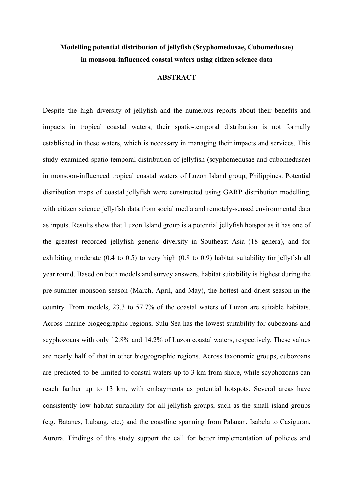## **Modelling potential distribution of jellyfish (Scyphomedusae, Cubomedusae) in monsoon-influenced coastal waters using citizen science data**

## **ABSTRACT**

Despite the high diversity of jellyfish and the numerous reports about their benefits and impacts in tropical coastal waters, their spatio-temporal distribution is not formally established in these waters, which is necessary in managing their impacts and services. This study examined spatio-temporal distribution of jellyfish (scyphomedusae and cubomedusae) in monsoon-influenced tropical coastal waters of Luzon Island group, Philippines. Potential distribution maps of coastal jellyfish were constructed using GARP distribution modelling, with citizen science jellyfish data from social media and remotely-sensed environmental data as inputs. Results show that Luzon Island group is a potential jellyfish hotspot as it has one of the greatest recorded jellyfish generic diversity in Southeast Asia (18 genera), and for exhibiting moderate (0.4 to 0.5) to very high (0.8 to 0.9) habitat suitability for jellyfish all year round. Based on both models and survey answers, habitat suitability is highest during the pre-summer monsoon season (March, April, and May), the hottest and driest season in the country. From models, 23.3 to 57.7% of the coastal waters of Luzon are suitable habitats. Across marine biogeographic regions, Sulu Sea has the lowest suitability for cubozoans and scyphozoans with only 12.8% and 14.2% of Luzon coastal waters, respectively. These values are nearly half of that in other biogeographic regions. Across taxonomic groups, cubozoans are predicted to be limited to coastal waters up to 3 km from shore, while scyphozoans can reach farther up to 13 km, with embayments as potential hotspots. Several areas have consistently low habitat suitability for all jellyfish groups, such as the small island groups (e.g. Batanes, Lubang, etc.) and the coastline spanning from Palanan, Isabela to Casiguran, Aurora. Findings of this study support the call for better implementation of policies and